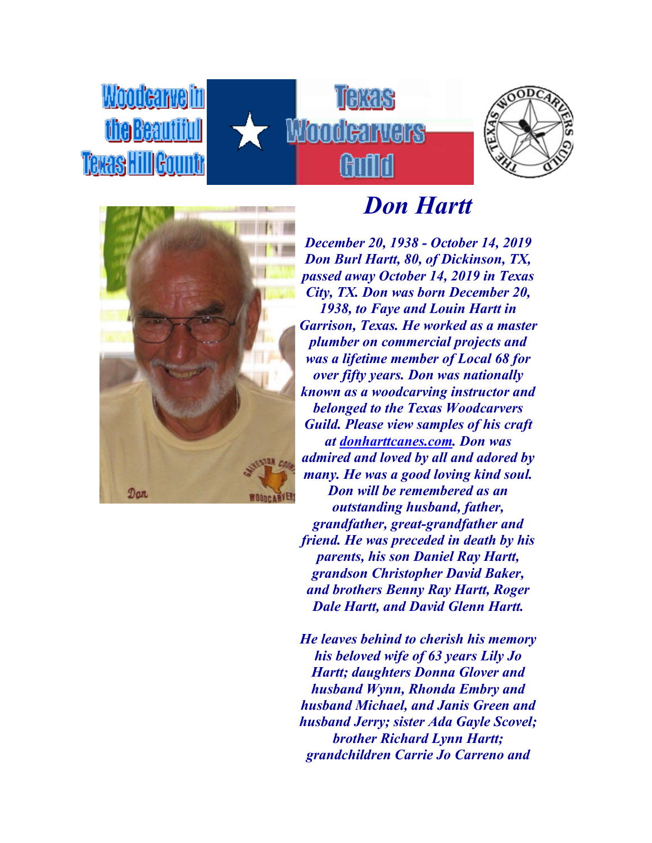





**Woodcarvein** 

the Beautiful

Texas Hill Gounty

## *Don Hartt*

*December 20, 1938 - October 14, 2019 Don Burl Hartt, 80, of Dickinson, TX, passed away October 14, 2019 in Texas City, TX. Don was born December 20, 1938, to Faye and Louin Hartt in Garrison, Texas. He worked as a master plumber on commercial projects and was a lifetime member of Local 68 for over fifty years. Don was nationally known as a woodcarving instructor and belonged to the Texas Woodcarvers Guild. Please view samples of his craft at [donharttcanes.com.](http://donharttcanes.com/) Don was admired and loved by all and adored by many. He was a good loving kind soul. Don will be remembered as an outstanding husband, father, grandfather, great-grandfather and friend. He was preceded in death by his parents, his son Daniel Ray Hartt, grandson Christopher David Baker, and brothers Benny Ray Hartt, Roger Dale Hartt, and David Glenn Hartt.*

*He leaves behind to cherish his memory his beloved wife of 63 years Lily Jo Hartt; daughters Donna Glover and husband Wynn, Rhonda Embry and husband Michael, and Janis Green and husband Jerry; sister Ada Gayle Scovel; brother Richard Lynn Hartt; grandchildren Carrie Jo Carreno and*